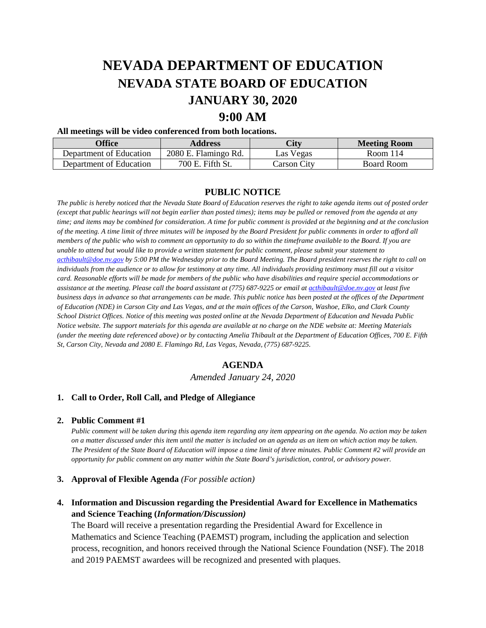# **NEVADA DEPARTMENT OF EDUCATION NEVADA STATE BOARD OF EDUCATION JANUARY 30, 2020**

# **9:00 AM**

### **All meetings will be video conferenced from both locations.**

| <b>Office</b>           | <b>Address</b>       | <b>City</b> | <b>Meeting Room</b> |
|-------------------------|----------------------|-------------|---------------------|
| Denartment of Education | 2080 E. Flamingo Rd. | Las Vegas   | Room 114            |
| Department of Education | 700 E. Fifth St.     | Carson Citv | Board Room          |

## **PUBLIC NOTICE**

*The public is hereby noticed that the Nevada State Board of Education reserves the right to take agenda items out of posted order (except that public hearings will not begin earlier than posted times); items may be pulled or removed from the agenda at any time; and items may be combined for consideration. A time for public comment is provided at the beginning and at the conclusion of the meeting. A time limit of three minutes will be imposed by the Board President for public comments in order to afford all members of the public who wish to comment an opportunity to do so within the timeframe available to the Board. If you are unable to attend but would like to provide a written statement for public comment, please submit your statement to [acthibault@doe.nv.gov](mailto:acthibault@doe.nv.gov) by 5:00 PM the Wednesday prior to the Board Meeting. The Board president reserves the right to call on individuals from the audience or to allow for testimony at any time. All individuals providing testimony must fill out a visitor card. Reasonable efforts will be made for members of the public who have disabilities and require special accommodations or*  assistance at the meeting. Please call the board assistant at (775) 687-9225 or email at **acthibault@doe.nv.gov** at least five *business days in advance so that arrangements can be made. This public notice has been posted at the offices of the Department of Education (NDE) in Carson City and Las Vegas, and at the main offices of the Carson, Washoe, Elko, and Clark County School District Offices. Notice of this meeting was posted online at the Nevada Department of Education and Nevada Public Notice website. The support materials for this agenda are available at no charge on the NDE website at: Meeting Materials (under the meeting date referenced above) or by contacting Amelia Thibault at the Department of Education Offices, 700 E. Fifth St, Carson City, Nevada and 2080 E. Flamingo Rd, Las Vegas, Nevada, (775) 687-9225.* 

## **AGENDA**

*Amended January 24, 2020* 

## **1. Call to Order, Roll Call, and Pledge of Allegiance**

#### **2. Public Comment #1**

*Public comment will be taken during this agenda item regarding any item appearing on the agenda. No action may be taken on a matter discussed under this item until the matter is included on an agenda as an item on which action may be taken. The President of the State Board of Education will impose a time limit of three minutes. Public Comment #2 will provide an opportunity for public comment on any matter within the State Board's jurisdiction, control, or advisory power.*

## **3. Approval of Flexible Agenda** *(For possible action)*

## **4. Information and Discussion regarding the Presidential Award for Excellence in Mathematics and Science Teaching (***Information/Discussion)*

The Board will receive a presentation regarding the Presidential Award for Excellence in Mathematics and Science Teaching (PAEMST) program, including the application and selection process, recognition, and honors received through the National Science Foundation (NSF). The 2018 and 2019 PAEMST awardees will be recognized and presented with plaques.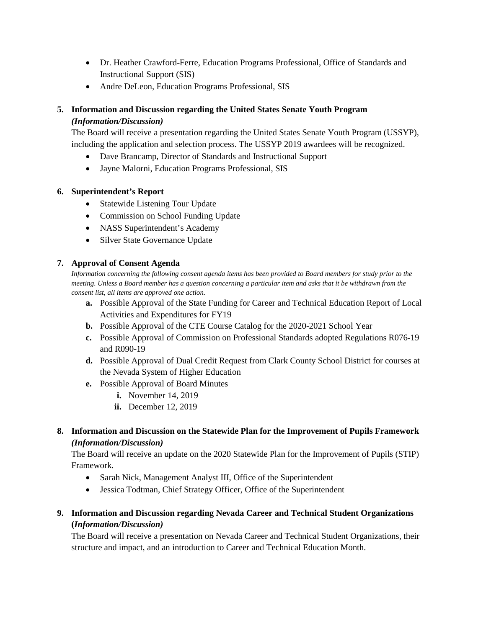- Dr. Heather Crawford-Ferre, Education Programs Professional, Office of Standards and Instructional Support (SIS)
- Andre DeLeon, Education Programs Professional, SIS

# **5. Information and Discussion regarding the United States Senate Youth Program** *(Information/Discussion)*

The Board will receive a presentation regarding the United States Senate Youth Program (USSYP), including the application and selection process. The USSYP 2019 awardees will be recognized.

- Dave Brancamp, Director of Standards and Instructional Support
- Jayne Malorni, Education Programs Professional, SIS

## **6. Superintendent's Report**

- Statewide Listening Tour Update
- Commission on School Funding Update
- NASS Superintendent's Academy
- Silver State Governance Update

## **7. Approval of Consent Agenda**

*Information concerning the following consent agenda items has been provided to Board members for study prior to the meeting. Unless a Board member has a question concerning a particular item and asks that it be withdrawn from the consent list, all items are approved one action.* 

- **a.** Possible Approval of the State Funding for Career and Technical Education Report of Local Activities and Expenditures for FY19
- **b.** Possible Approval of the CTE Course Catalog for the 2020-2021 School Year
- **c.** Possible Approval of Commission on Professional Standards adopted Regulations R076-19 and R090-19
- **d.** Possible Approval of Dual Credit Request from Clark County School District for courses at the Nevada System of Higher Education
- **e.** Possible Approval of Board Minutes
	- **i.** November 14, 2019
	- **ii.** December 12, 2019
- **8. Information and Discussion on the Statewide Plan for the Improvement of Pupils Framework** *(Information/Discussion)*

The Board will receive an update on the 2020 Statewide Plan for the Improvement of Pupils (STIP) Framework.

- Sarah Nick, Management Analyst III, Office of the Superintendent
- Jessica Todtman, Chief Strategy Officer, Office of the Superintendent

## **9. Information and Discussion regarding Nevada Career and Technical Student Organizations (***Information/Discussion)*

The Board will receive a presentation on Nevada Career and Technical Student Organizations, their structure and impact, and an introduction to Career and Technical Education Month.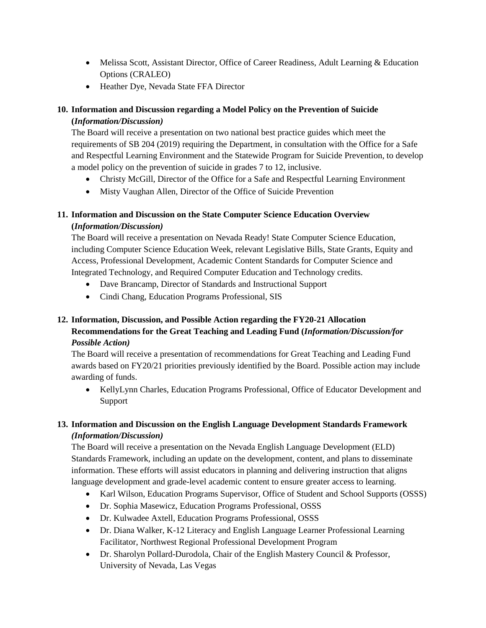- Melissa Scott, Assistant Director, Office of Career Readiness, Adult Learning & Education Options (CRALEO)
- Heather Dye, Nevada State FFA Director

# **10. Information and Discussion regarding a Model Policy on the Prevention of Suicide (***Information/Discussion)*

The Board will receive a presentation on two national best practice guides which meet the requirements of SB 204 (2019) requiring the Department, in consultation with the Office for a Safe and Respectful Learning Environment and the Statewide Program for Suicide Prevention, to develop a model policy on the prevention of suicide in grades 7 to 12, inclusive.

- Christy McGill, Director of the Office for a Safe and Respectful Learning Environment
- Misty Vaughan Allen, Director of the Office of Suicide Prevention

# **11. Information and Discussion on the State Computer Science Education Overview (***Information/Discussion)*

The Board will receive a presentation on Nevada Ready! State Computer Science Education, including Computer Science Education Week, relevant Legislative Bills, State Grants, Equity and Access, Professional Development, Academic Content Standards for Computer Science and Integrated Technology, and Required Computer Education and Technology credits.

- Dave Brancamp, Director of Standards and Instructional Support
- Cindi Chang, Education Programs Professional, SIS

# **12. Information, Discussion, and Possible Action regarding the FY20-21 Allocation Recommendations for the Great Teaching and Leading Fund (***Information/Discussion/for Possible Action)*

The Board will receive a presentation of recommendations for Great Teaching and Leading Fund awards based on FY20/21 priorities previously identified by the Board. Possible action may include awarding of funds.

• KellyLynn Charles, Education Programs Professional, Office of Educator Development and Support

# **13. Information and Discussion on the English Language Development Standards Framework** *(Information/Discussion)*

The Board will receive a presentation on the Nevada English Language Development (ELD) Standards Framework, including an update on the development, content, and plans to disseminate information. These efforts will assist educators in planning and delivering instruction that aligns language development and grade-level academic content to ensure greater access to learning.

- Karl Wilson, Education Programs Supervisor, Office of Student and School Supports (OSSS)
- Dr. Sophia Masewicz, Education Programs Professional, OSSS
- Dr. Kulwadee Axtell, Education Programs Professional, OSSS
- Dr. Diana Walker, K-12 Literacy and English Language Learner Professional Learning Facilitator, Northwest Regional Professional Development Program
- Dr. Sharolyn Pollard-Durodola, Chair of the English Mastery Council & Professor, University of Nevada, Las Vegas